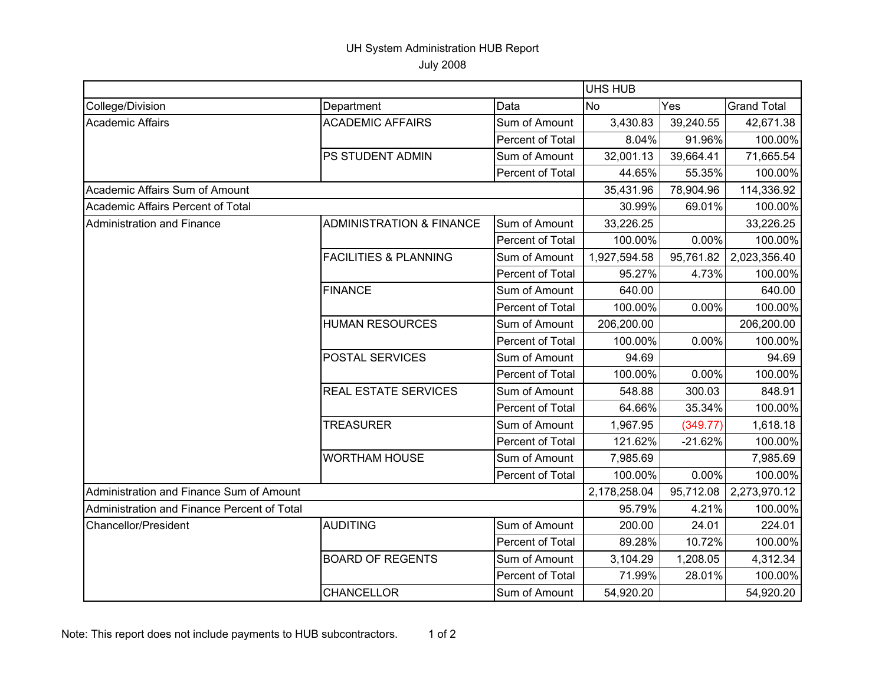## UH System Administration HUB Report

July 2008

|                                             |                                     | <b>UHS HUB</b>   |              |           |                    |
|---------------------------------------------|-------------------------------------|------------------|--------------|-----------|--------------------|
| College/Division                            | Department                          | Data             | <b>No</b>    | Yes       | <b>Grand Total</b> |
| <b>Academic Affairs</b>                     | <b>ACADEMIC AFFAIRS</b>             | Sum of Amount    | 3,430.83     | 39,240.55 | 42,671.38          |
|                                             |                                     | Percent of Total | 8.04%        | 91.96%    | 100.00%            |
|                                             | PS STUDENT ADMIN                    | Sum of Amount    | 32,001.13    | 39,664.41 | 71,665.54          |
|                                             |                                     | Percent of Total | 44.65%       | 55.35%    | 100.00%            |
| Academic Affairs Sum of Amount              |                                     |                  | 35,431.96    | 78,904.96 | 114,336.92         |
| Academic Affairs Percent of Total           |                                     |                  | 30.99%       | 69.01%    | 100.00%            |
| Administration and Finance                  | <b>ADMINISTRATION &amp; FINANCE</b> | Sum of Amount    | 33,226.25    |           | 33,226.25          |
|                                             |                                     | Percent of Total | 100.00%      | 0.00%     | 100.00%            |
|                                             | <b>FACILITIES &amp; PLANNING</b>    | Sum of Amount    | 1,927,594.58 | 95,761.82 | 2,023,356.40       |
|                                             |                                     | Percent of Total | 95.27%       | 4.73%     | 100.00%            |
|                                             | <b>FINANCE</b>                      | Sum of Amount    | 640.00       |           | 640.00             |
|                                             |                                     | Percent of Total | 100.00%      | 0.00%     | 100.00%            |
|                                             | <b>HUMAN RESOURCES</b>              | Sum of Amount    | 206,200.00   |           | 206,200.00         |
|                                             |                                     | Percent of Total | 100.00%      | 0.00%     | 100.00%            |
|                                             | POSTAL SERVICES                     | Sum of Amount    | 94.69        |           | 94.69              |
|                                             |                                     | Percent of Total | 100.00%      | 0.00%     | 100.00%            |
|                                             | <b>REAL ESTATE SERVICES</b>         | Sum of Amount    | 548.88       | 300.03    | 848.91             |
|                                             |                                     | Percent of Total | 64.66%       | 35.34%    | 100.00%            |
|                                             | <b>TREASURER</b>                    | Sum of Amount    | 1,967.95     | (349.77)  | 1,618.18           |
|                                             |                                     | Percent of Total | 121.62%      | $-21.62%$ | 100.00%            |
|                                             | <b>WORTHAM HOUSE</b>                | Sum of Amount    | 7,985.69     |           | 7,985.69           |
|                                             |                                     | Percent of Total | 100.00%      | 0.00%     | 100.00%            |
| Administration and Finance Sum of Amount    |                                     |                  | 2,178,258.04 | 95,712.08 | 2,273,970.12       |
| Administration and Finance Percent of Total |                                     |                  | 95.79%       | 4.21%     | 100.00%            |
| <b>Chancellor/President</b>                 | <b>AUDITING</b>                     | Sum of Amount    | 200.00       | 24.01     | 224.01             |
|                                             |                                     | Percent of Total | 89.28%       | 10.72%    | 100.00%            |
|                                             | <b>BOARD OF REGENTS</b>             | Sum of Amount    | 3,104.29     | 1,208.05  | 4,312.34           |
|                                             |                                     | Percent of Total | 71.99%       | 28.01%    | 100.00%            |
|                                             | <b>CHANCELLOR</b>                   | Sum of Amount    | 54,920.20    |           | 54,920.20          |